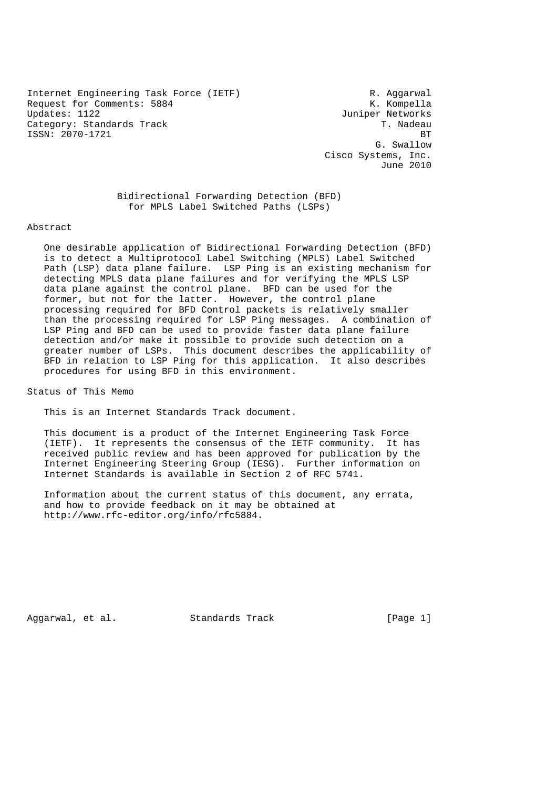Internet Engineering Task Force (IETF) The Control R. Aggarwal Request for Comments: 5884 K. Kompella Updates: 1122 Juniper Networks Category: Standards Track T. Nadeau (1999) ISSN: 2070-1721 BT

 G. Swallow Cisco Systems, Inc. June 2010

 Bidirectional Forwarding Detection (BFD) for MPLS Label Switched Paths (LSPs)

#### Abstract

 One desirable application of Bidirectional Forwarding Detection (BFD) is to detect a Multiprotocol Label Switching (MPLS) Label Switched Path (LSP) data plane failure. LSP Ping is an existing mechanism for detecting MPLS data plane failures and for verifying the MPLS LSP data plane against the control plane. BFD can be used for the former, but not for the latter. However, the control plane processing required for BFD Control packets is relatively smaller than the processing required for LSP Ping messages. A combination of LSP Ping and BFD can be used to provide faster data plane failure detection and/or make it possible to provide such detection on a greater number of LSPs. This document describes the applicability of BFD in relation to LSP Ping for this application. It also describes procedures for using BFD in this environment.

Status of This Memo

This is an Internet Standards Track document.

 This document is a product of the Internet Engineering Task Force (IETF). It represents the consensus of the IETF community. It has received public review and has been approved for publication by the Internet Engineering Steering Group (IESG). Further information on Internet Standards is available in Section 2 of RFC 5741.

 Information about the current status of this document, any errata, and how to provide feedback on it may be obtained at http://www.rfc-editor.org/info/rfc5884.

Aggarwal, et al. Standards Track [Page 1]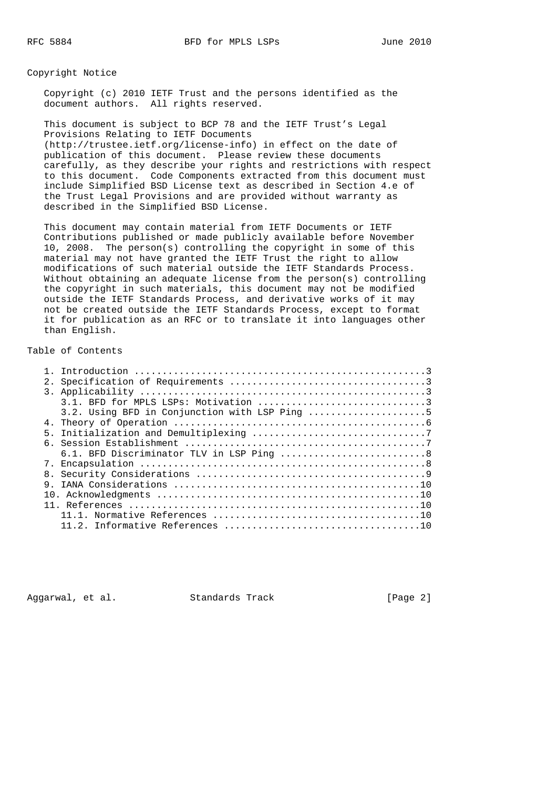Copyright Notice

 Copyright (c) 2010 IETF Trust and the persons identified as the document authors. All rights reserved.

 This document is subject to BCP 78 and the IETF Trust's Legal Provisions Relating to IETF Documents (http://trustee.ietf.org/license-info) in effect on the date of publication of this document. Please review these documents carefully, as they describe your rights and restrictions with respect to this document. Code Components extracted from this document must include Simplified BSD License text as described in Section 4.e of the Trust Legal Provisions and are provided without warranty as described in the Simplified BSD License.

 This document may contain material from IETF Documents or IETF Contributions published or made publicly available before November 10, 2008. The person(s) controlling the copyright in some of this material may not have granted the IETF Trust the right to allow modifications of such material outside the IETF Standards Process. Without obtaining an adequate license from the person(s) controlling the copyright in such materials, this document may not be modified outside the IETF Standards Process, and derivative works of it may not be created outside the IETF Standards Process, except to format it for publication as an RFC or to translate it into languages other than English.

# Table of Contents

|  | 3.2. Using BFD in Conjunction with LSP Ping 5 |  |
|--|-----------------------------------------------|--|
|  |                                               |  |
|  |                                               |  |
|  |                                               |  |
|  | 6.1. BFD Discriminator TLV in LSP Ping 8      |  |
|  |                                               |  |
|  |                                               |  |
|  |                                               |  |
|  |                                               |  |
|  |                                               |  |
|  |                                               |  |
|  |                                               |  |
|  |                                               |  |

Aggarwal, et al. Standards Track [Page 2]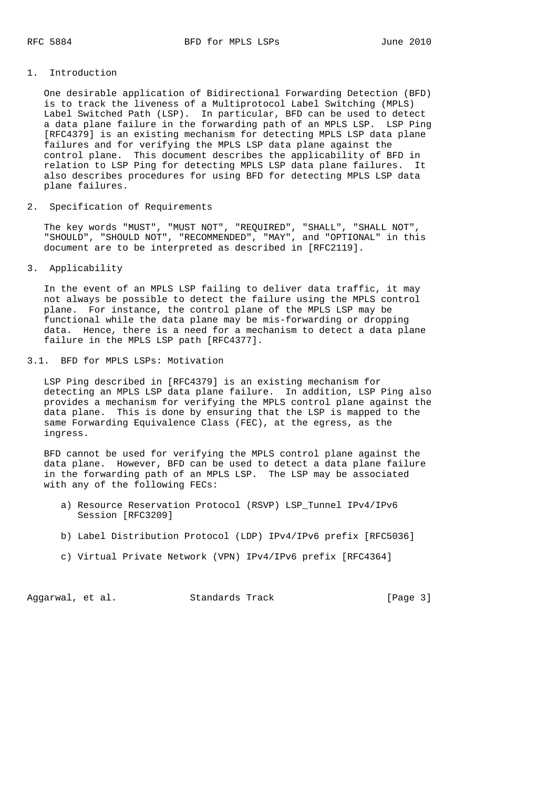### 1. Introduction

 One desirable application of Bidirectional Forwarding Detection (BFD) is to track the liveness of a Multiprotocol Label Switching (MPLS) Label Switched Path (LSP). In particular, BFD can be used to detect a data plane failure in the forwarding path of an MPLS LSP. LSP Ping [RFC4379] is an existing mechanism for detecting MPLS LSP data plane failures and for verifying the MPLS LSP data plane against the control plane. This document describes the applicability of BFD in relation to LSP Ping for detecting MPLS LSP data plane failures. It also describes procedures for using BFD for detecting MPLS LSP data plane failures.

2. Specification of Requirements

 The key words "MUST", "MUST NOT", "REQUIRED", "SHALL", "SHALL NOT", "SHOULD", "SHOULD NOT", "RECOMMENDED", "MAY", and "OPTIONAL" in this document are to be interpreted as described in [RFC2119].

3. Applicability

 In the event of an MPLS LSP failing to deliver data traffic, it may not always be possible to detect the failure using the MPLS control plane. For instance, the control plane of the MPLS LSP may be functional while the data plane may be mis-forwarding or dropping data. Hence, there is a need for a mechanism to detect a data plane failure in the MPLS LSP path [RFC4377].

3.1. BFD for MPLS LSPs: Motivation

 LSP Ping described in [RFC4379] is an existing mechanism for detecting an MPLS LSP data plane failure. In addition, LSP Ping also provides a mechanism for verifying the MPLS control plane against the data plane. This is done by ensuring that the LSP is mapped to the same Forwarding Equivalence Class (FEC), at the egress, as the ingress.

 BFD cannot be used for verifying the MPLS control plane against the data plane. However, BFD can be used to detect a data plane failure in the forwarding path of an MPLS LSP. The LSP may be associated with any of the following FECs:

- a) Resource Reservation Protocol (RSVP) LSP\_Tunnel IPv4/IPv6 Session [RFC3209]
- b) Label Distribution Protocol (LDP) IPv4/IPv6 prefix [RFC5036]
- c) Virtual Private Network (VPN) IPv4/IPv6 prefix [RFC4364]

Aggarwal, et al. Standards Track [Page 3]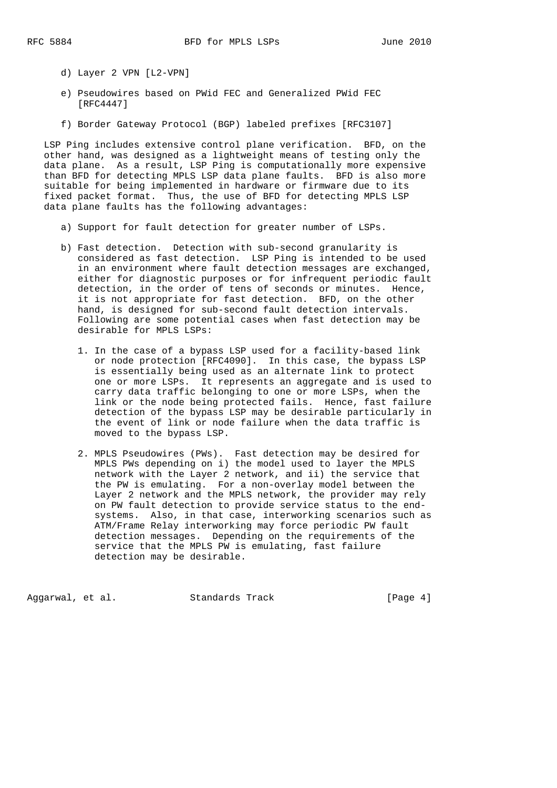- d) Layer 2 VPN [L2-VPN]
- e) Pseudowires based on PWid FEC and Generalized PWid FEC [RFC4447]
- f) Border Gateway Protocol (BGP) labeled prefixes [RFC3107]

 LSP Ping includes extensive control plane verification. BFD, on the other hand, was designed as a lightweight means of testing only the data plane. As a result, LSP Ping is computationally more expensive than BFD for detecting MPLS LSP data plane faults. BFD is also more suitable for being implemented in hardware or firmware due to its fixed packet format. Thus, the use of BFD for detecting MPLS LSP data plane faults has the following advantages:

- a) Support for fault detection for greater number of LSPs.
- b) Fast detection. Detection with sub-second granularity is considered as fast detection. LSP Ping is intended to be used in an environment where fault detection messages are exchanged, either for diagnostic purposes or for infrequent periodic fault detection, in the order of tens of seconds or minutes. Hence, it is not appropriate for fast detection. BFD, on the other hand, is designed for sub-second fault detection intervals. Following are some potential cases when fast detection may be desirable for MPLS LSPs:
	- 1. In the case of a bypass LSP used for a facility-based link or node protection [RFC4090]. In this case, the bypass LSP is essentially being used as an alternate link to protect one or more LSPs. It represents an aggregate and is used to carry data traffic belonging to one or more LSPs, when the link or the node being protected fails. Hence, fast failure detection of the bypass LSP may be desirable particularly in the event of link or node failure when the data traffic is moved to the bypass LSP.
	- 2. MPLS Pseudowires (PWs). Fast detection may be desired for MPLS PWs depending on i) the model used to layer the MPLS network with the Layer 2 network, and ii) the service that the PW is emulating. For a non-overlay model between the Layer 2 network and the MPLS network, the provider may rely on PW fault detection to provide service status to the end systems. Also, in that case, interworking scenarios such as ATM/Frame Relay interworking may force periodic PW fault detection messages. Depending on the requirements of the service that the MPLS PW is emulating, fast failure detection may be desirable.

Aggarwal, et al. Standards Track [Page 4]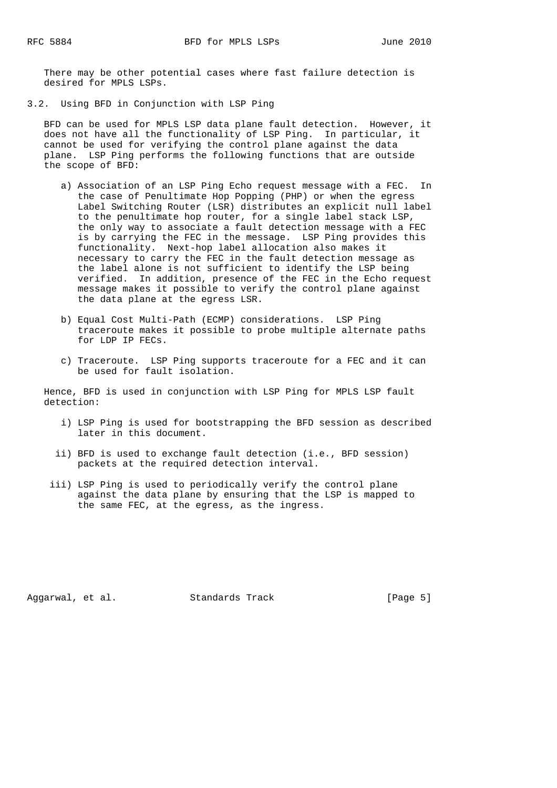There may be other potential cases where fast failure detection is desired for MPLS LSPs.

3.2. Using BFD in Conjunction with LSP Ping

 BFD can be used for MPLS LSP data plane fault detection. However, it does not have all the functionality of LSP Ping. In particular, it cannot be used for verifying the control plane against the data plane. LSP Ping performs the following functions that are outside the scope of BFD:

- a) Association of an LSP Ping Echo request message with a FEC. In the case of Penultimate Hop Popping (PHP) or when the egress Label Switching Router (LSR) distributes an explicit null label to the penultimate hop router, for a single label stack LSP, the only way to associate a fault detection message with a FEC is by carrying the FEC in the message. LSP Ping provides this functionality. Next-hop label allocation also makes it necessary to carry the FEC in the fault detection message as the label alone is not sufficient to identify the LSP being verified. In addition, presence of the FEC in the Echo request message makes it possible to verify the control plane against the data plane at the egress LSR.
- b) Equal Cost Multi-Path (ECMP) considerations. LSP Ping traceroute makes it possible to probe multiple alternate paths for LDP IP FECs.
- c) Traceroute. LSP Ping supports traceroute for a FEC and it can be used for fault isolation.

 Hence, BFD is used in conjunction with LSP Ping for MPLS LSP fault detection:

- i) LSP Ping is used for bootstrapping the BFD session as described later in this document.
- ii) BFD is used to exchange fault detection (i.e., BFD session) packets at the required detection interval.
- iii) LSP Ping is used to periodically verify the control plane against the data plane by ensuring that the LSP is mapped to the same FEC, at the egress, as the ingress.

Aggarwal, et al. Standards Track [Page 5]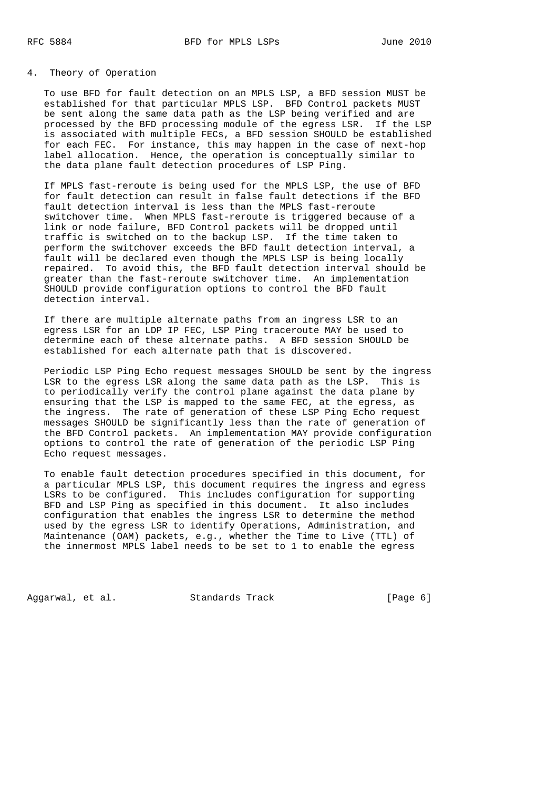### 4. Theory of Operation

 To use BFD for fault detection on an MPLS LSP, a BFD session MUST be established for that particular MPLS LSP. BFD Control packets MUST be sent along the same data path as the LSP being verified and are processed by the BFD processing module of the egress LSR. If the LSP is associated with multiple FECs, a BFD session SHOULD be established for each FEC. For instance, this may happen in the case of next-hop label allocation. Hence, the operation is conceptually similar to the data plane fault detection procedures of LSP Ping.

 If MPLS fast-reroute is being used for the MPLS LSP, the use of BFD for fault detection can result in false fault detections if the BFD fault detection interval is less than the MPLS fast-reroute switchover time. When MPLS fast-reroute is triggered because of a link or node failure, BFD Control packets will be dropped until traffic is switched on to the backup LSP. If the time taken to perform the switchover exceeds the BFD fault detection interval, a fault will be declared even though the MPLS LSP is being locally repaired. To avoid this, the BFD fault detection interval should be greater than the fast-reroute switchover time. An implementation SHOULD provide configuration options to control the BFD fault detection interval.

 If there are multiple alternate paths from an ingress LSR to an egress LSR for an LDP IP FEC, LSP Ping traceroute MAY be used to determine each of these alternate paths. A BFD session SHOULD be established for each alternate path that is discovered.

 Periodic LSP Ping Echo request messages SHOULD be sent by the ingress LSR to the egress LSR along the same data path as the LSP. This is to periodically verify the control plane against the data plane by ensuring that the LSP is mapped to the same FEC, at the egress, as the ingress. The rate of generation of these LSP Ping Echo request messages SHOULD be significantly less than the rate of generation of the BFD Control packets. An implementation MAY provide configuration options to control the rate of generation of the periodic LSP Ping Echo request messages.

 To enable fault detection procedures specified in this document, for a particular MPLS LSP, this document requires the ingress and egress LSRs to be configured. This includes configuration for supporting BFD and LSP Ping as specified in this document. It also includes configuration that enables the ingress LSR to determine the method used by the egress LSR to identify Operations, Administration, and Maintenance (OAM) packets, e.g., whether the Time to Live (TTL) of the innermost MPLS label needs to be set to 1 to enable the egress

Aggarwal, et al. Standards Track [Page 6]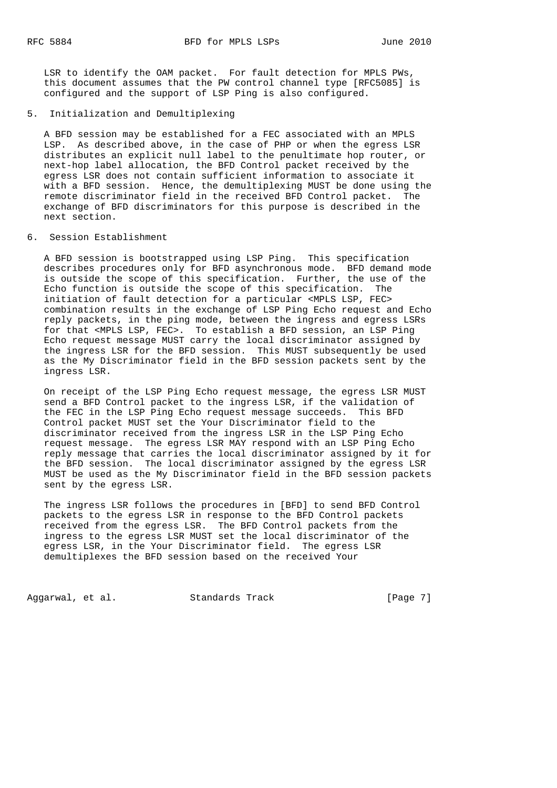LSR to identify the OAM packet. For fault detection for MPLS PWs, this document assumes that the PW control channel type [RFC5085] is configured and the support of LSP Ping is also configured.

### 5. Initialization and Demultiplexing

 A BFD session may be established for a FEC associated with an MPLS LSP. As described above, in the case of PHP or when the egress LSR distributes an explicit null label to the penultimate hop router, or next-hop label allocation, the BFD Control packet received by the egress LSR does not contain sufficient information to associate it with a BFD session. Hence, the demultiplexing MUST be done using the remote discriminator field in the received BFD Control packet. The exchange of BFD discriminators for this purpose is described in the next section.

# 6. Session Establishment

 A BFD session is bootstrapped using LSP Ping. This specification describes procedures only for BFD asynchronous mode. BFD demand mode is outside the scope of this specification. Further, the use of the Echo function is outside the scope of this specification. The initiation of fault detection for a particular <MPLS LSP, FEC> combination results in the exchange of LSP Ping Echo request and Echo reply packets, in the ping mode, between the ingress and egress LSRs for that <MPLS LSP, FEC>. To establish a BFD session, an LSP Ping Echo request message MUST carry the local discriminator assigned by the ingress LSR for the BFD session. This MUST subsequently be used as the My Discriminator field in the BFD session packets sent by the ingress LSR.

 On receipt of the LSP Ping Echo request message, the egress LSR MUST send a BFD Control packet to the ingress LSR, if the validation of the FEC in the LSP Ping Echo request message succeeds. This BFD Control packet MUST set the Your Discriminator field to the discriminator received from the ingress LSR in the LSP Ping Echo request message. The egress LSR MAY respond with an LSP Ping Echo reply message that carries the local discriminator assigned by it for the BFD session. The local discriminator assigned by the egress LSR MUST be used as the My Discriminator field in the BFD session packets sent by the egress LSR.

 The ingress LSR follows the procedures in [BFD] to send BFD Control packets to the egress LSR in response to the BFD Control packets received from the egress LSR. The BFD Control packets from the ingress to the egress LSR MUST set the local discriminator of the egress LSR, in the Your Discriminator field. The egress LSR demultiplexes the BFD session based on the received Your

Aggarwal, et al. Standards Track [Page 7]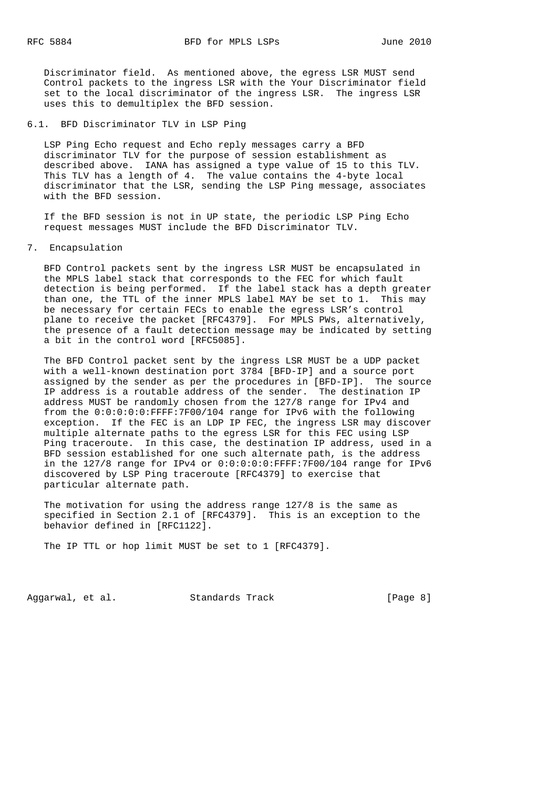Discriminator field. As mentioned above, the egress LSR MUST send Control packets to the ingress LSR with the Your Discriminator field set to the local discriminator of the ingress LSR. The ingress LSR uses this to demultiplex the BFD session.

### 6.1. BFD Discriminator TLV in LSP Ping

 LSP Ping Echo request and Echo reply messages carry a BFD discriminator TLV for the purpose of session establishment as described above. IANA has assigned a type value of 15 to this TLV. This TLV has a length of 4. The value contains the 4-byte local discriminator that the LSR, sending the LSP Ping message, associates with the BFD session.

 If the BFD session is not in UP state, the periodic LSP Ping Echo request messages MUST include the BFD Discriminator TLV.

7. Encapsulation

 BFD Control packets sent by the ingress LSR MUST be encapsulated in the MPLS label stack that corresponds to the FEC for which fault detection is being performed. If the label stack has a depth greater than one, the TTL of the inner MPLS label MAY be set to 1. This may be necessary for certain FECs to enable the egress LSR's control plane to receive the packet [RFC4379]. For MPLS PWs, alternatively, the presence of a fault detection message may be indicated by setting a bit in the control word [RFC5085].

 The BFD Control packet sent by the ingress LSR MUST be a UDP packet with a well-known destination port 3784 [BFD-IP] and a source port assigned by the sender as per the procedures in [BFD-IP]. The source IP address is a routable address of the sender. The destination IP address MUST be randomly chosen from the 127/8 range for IPv4 and from the 0:0:0:0:0:FFFF:7F00/104 range for IPv6 with the following exception. If the FEC is an LDP IP FEC, the ingress LSR may discover multiple alternate paths to the egress LSR for this FEC using LSP Ping traceroute. In this case, the destination IP address, used in a BFD session established for one such alternate path, is the address in the  $127/8$  range for IPv4 or  $0:0:0:0:0:$ FFFF:7F00/104 range for IPv6 discovered by LSP Ping traceroute [RFC4379] to exercise that particular alternate path.

 The motivation for using the address range 127/8 is the same as specified in Section 2.1 of [RFC4379]. This is an exception to the behavior defined in [RFC1122].

The IP TTL or hop limit MUST be set to 1 [RFC4379].

Aggarwal, et al. Standards Track [Page 8]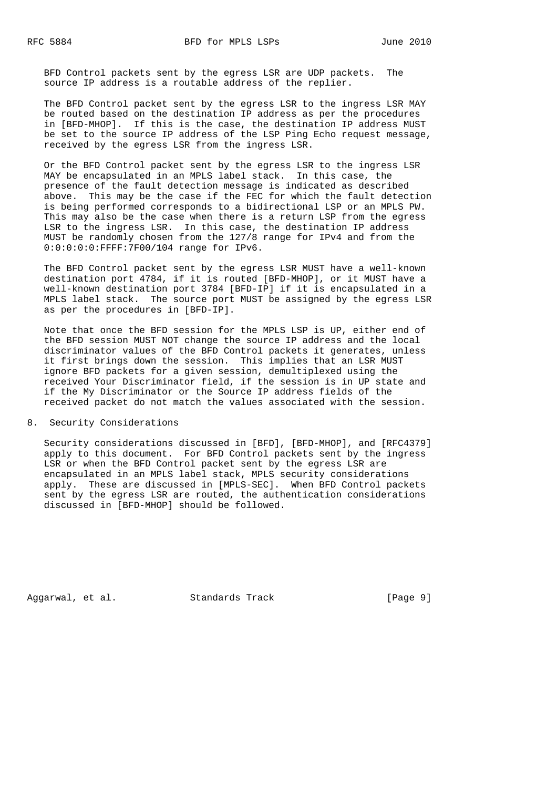BFD Control packets sent by the egress LSR are UDP packets. The source IP address is a routable address of the replier.

 The BFD Control packet sent by the egress LSR to the ingress LSR MAY be routed based on the destination IP address as per the procedures in [BFD-MHOP]. If this is the case, the destination IP address MUST be set to the source IP address of the LSP Ping Echo request message, received by the egress LSR from the ingress LSR.

 Or the BFD Control packet sent by the egress LSR to the ingress LSR MAY be encapsulated in an MPLS label stack. In this case, the presence of the fault detection message is indicated as described above. This may be the case if the FEC for which the fault detection is being performed corresponds to a bidirectional LSP or an MPLS PW. This may also be the case when there is a return LSP from the egress LSR to the ingress LSR. In this case, the destination IP address MUST be randomly chosen from the 127/8 range for IPv4 and from the 0:0:0:0:0:FFFF:7F00/104 range for IPv6.

 The BFD Control packet sent by the egress LSR MUST have a well-known destination port 4784, if it is routed [BFD-MHOP], or it MUST have a well-known destination port 3784 [BFD-IP] if it is encapsulated in a MPLS label stack. The source port MUST be assigned by the egress LSR as per the procedures in [BFD-IP].

 Note that once the BFD session for the MPLS LSP is UP, either end of the BFD session MUST NOT change the source IP address and the local discriminator values of the BFD Control packets it generates, unless it first brings down the session. This implies that an LSR MUST ignore BFD packets for a given session, demultiplexed using the received Your Discriminator field, if the session is in UP state and if the My Discriminator or the Source IP address fields of the received packet do not match the values associated with the session.

### 8. Security Considerations

 Security considerations discussed in [BFD], [BFD-MHOP], and [RFC4379] apply to this document. For BFD Control packets sent by the ingress LSR or when the BFD Control packet sent by the egress LSR are encapsulated in an MPLS label stack, MPLS security considerations apply. These are discussed in [MPLS-SEC]. When BFD Control packets sent by the egress LSR are routed, the authentication considerations discussed in [BFD-MHOP] should be followed.

Aggarwal, et al. Standards Track [Page 9]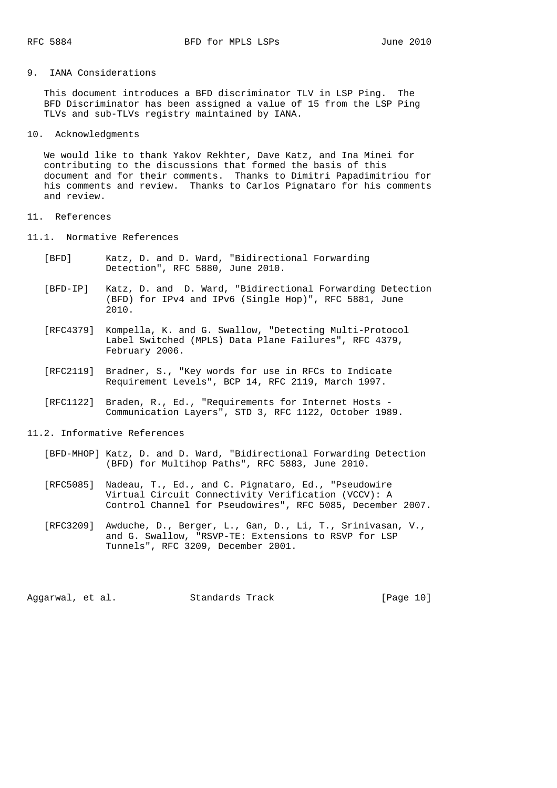# 9. IANA Considerations

 This document introduces a BFD discriminator TLV in LSP Ping. The BFD Discriminator has been assigned a value of 15 from the LSP Ping TLVs and sub-TLVs registry maintained by IANA.

10. Acknowledgments

 We would like to thank Yakov Rekhter, Dave Katz, and Ina Minei for contributing to the discussions that formed the basis of this document and for their comments. Thanks to Dimitri Papadimitriou for his comments and review. Thanks to Carlos Pignataro for his comments and review.

# 11. References

- 11.1. Normative References
	- [BFD] Katz, D. and D. Ward, "Bidirectional Forwarding Detection", RFC 5880, June 2010.
	- [BFD-IP] Katz, D. and D. Ward, "Bidirectional Forwarding Detection (BFD) for IPv4 and IPv6 (Single Hop)", RFC 5881, June 2010.
	- [RFC4379] Kompella, K. and G. Swallow, "Detecting Multi-Protocol Label Switched (MPLS) Data Plane Failures", RFC 4379, February 2006.
	- [RFC2119] Bradner, S., "Key words for use in RFCs to Indicate Requirement Levels", BCP 14, RFC 2119, March 1997.
	- [RFC1122] Braden, R., Ed., "Requirements for Internet Hosts Communication Layers", STD 3, RFC 1122, October 1989.
- 11.2. Informative References
	- [BFD-MHOP] Katz, D. and D. Ward, "Bidirectional Forwarding Detection (BFD) for Multihop Paths", RFC 5883, June 2010.
	- [RFC5085] Nadeau, T., Ed., and C. Pignataro, Ed., "Pseudowire Virtual Circuit Connectivity Verification (VCCV): A Control Channel for Pseudowires", RFC 5085, December 2007.
	- [RFC3209] Awduche, D., Berger, L., Gan, D., Li, T., Srinivasan, V., and G. Swallow, "RSVP-TE: Extensions to RSVP for LSP Tunnels", RFC 3209, December 2001.

Aggarwal, et al. Standards Track [Page 10]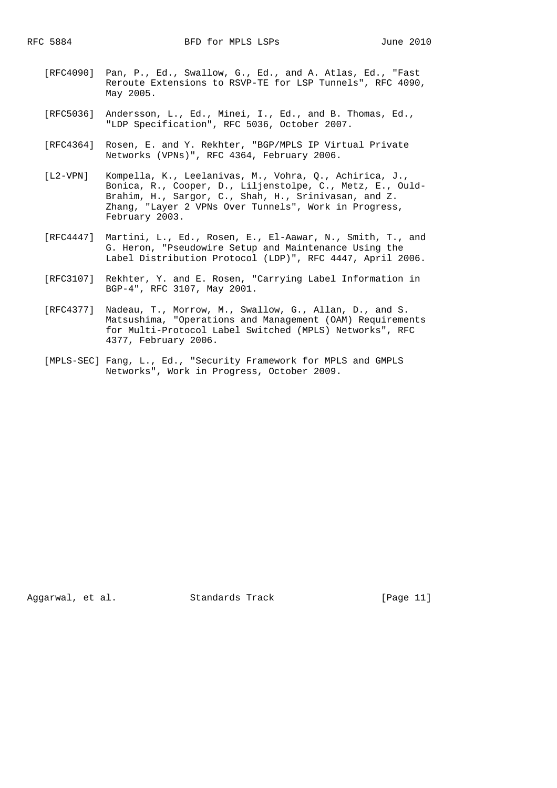- [RFC4090] Pan, P., Ed., Swallow, G., Ed., and A. Atlas, Ed., "Fast Reroute Extensions to RSVP-TE for LSP Tunnels", RFC 4090, May 2005.
- [RFC5036] Andersson, L., Ed., Minei, I., Ed., and B. Thomas, Ed., "LDP Specification", RFC 5036, October 2007.
- [RFC4364] Rosen, E. and Y. Rekhter, "BGP/MPLS IP Virtual Private Networks (VPNs)", RFC 4364, February 2006.
- [L2-VPN] Kompella, K., Leelanivas, M., Vohra, Q., Achirica, J., Bonica, R., Cooper, D., Liljenstolpe, C., Metz, E., Ould- Brahim, H., Sargor, C., Shah, H., Srinivasan, and Z. Zhang, "Layer 2 VPNs Over Tunnels", Work in Progress, February 2003.
- [RFC4447] Martini, L., Ed., Rosen, E., El-Aawar, N., Smith, T., and G. Heron, "Pseudowire Setup and Maintenance Using the Label Distribution Protocol (LDP)", RFC 4447, April 2006.
- [RFC3107] Rekhter, Y. and E. Rosen, "Carrying Label Information in BGP-4", RFC 3107, May 2001.
- [RFC4377] Nadeau, T., Morrow, M., Swallow, G., Allan, D., and S. Matsushima, "Operations and Management (OAM) Requirements for Multi-Protocol Label Switched (MPLS) Networks", RFC 4377, February 2006.
- [MPLS-SEC] Fang, L., Ed., "Security Framework for MPLS and GMPLS Networks", Work in Progress, October 2009.

Aggarwal, et al. Standards Track [Page 11]